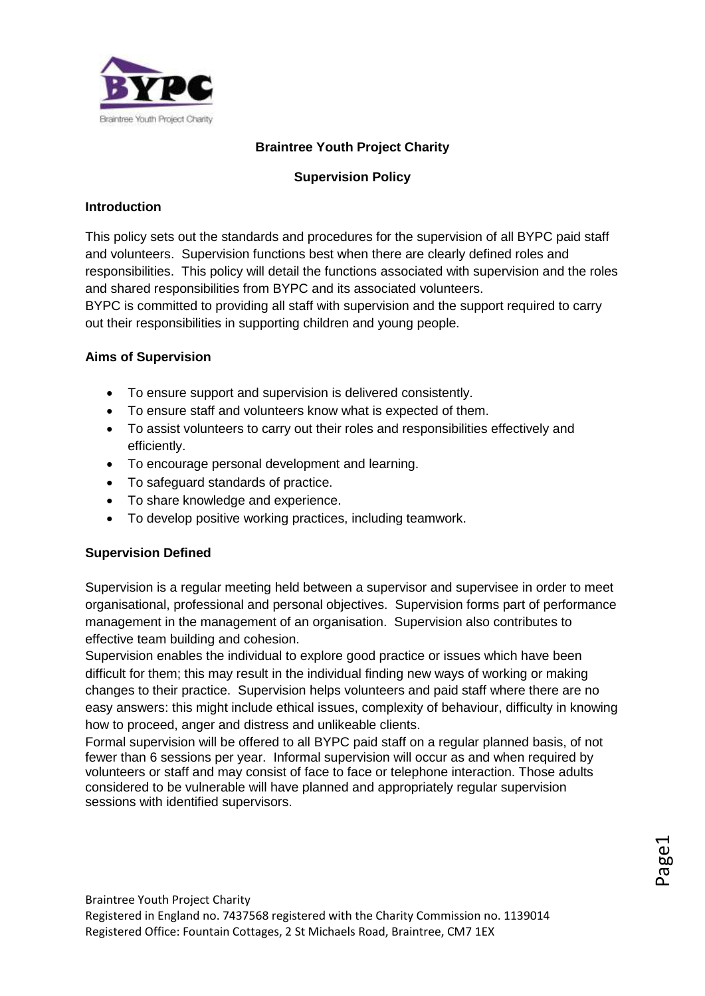

# **Braintree Youth Project Charity**

## **Supervision Policy**

### **Introduction**

This policy sets out the standards and procedures for the supervision of all BYPC paid staff and volunteers. Supervision functions best when there are clearly defined roles and responsibilities. This policy will detail the functions associated with supervision and the roles and shared responsibilities from BYPC and its associated volunteers. BYPC is committed to providing all staff with supervision and the support required to carry out their responsibilities in supporting children and young people.

### **Aims of Supervision**

- To ensure support and supervision is delivered consistently.
- To ensure staff and volunteers know what is expected of them.
- To assist volunteers to carry out their roles and responsibilities effectively and efficiently.
- To encourage personal development and learning.
- To safeguard standards of practice.
- To share knowledge and experience.
- To develop positive working practices, including teamwork.

### **Supervision Defined**

Supervision is a regular meeting held between a supervisor and supervisee in order to meet organisational, professional and personal objectives. Supervision forms part of performance management in the management of an organisation. Supervision also contributes to effective team building and cohesion.

Supervision enables the individual to explore good practice or issues which have been difficult for them; this may result in the individual finding new ways of working or making changes to their practice. Supervision helps volunteers and paid staff where there are no easy answers: this might include ethical issues, complexity of behaviour, difficulty in knowing how to proceed, anger and distress and unlikeable clients.

Formal supervision will be offered to all BYPC paid staff on a regular planned basis, of not fewer than 6 sessions per year. Informal supervision will occur as and when required by volunteers or staff and may consist of face to face or telephone interaction. Those adults considered to be vulnerable will have planned and appropriately regular supervision sessions with identified supervisors.